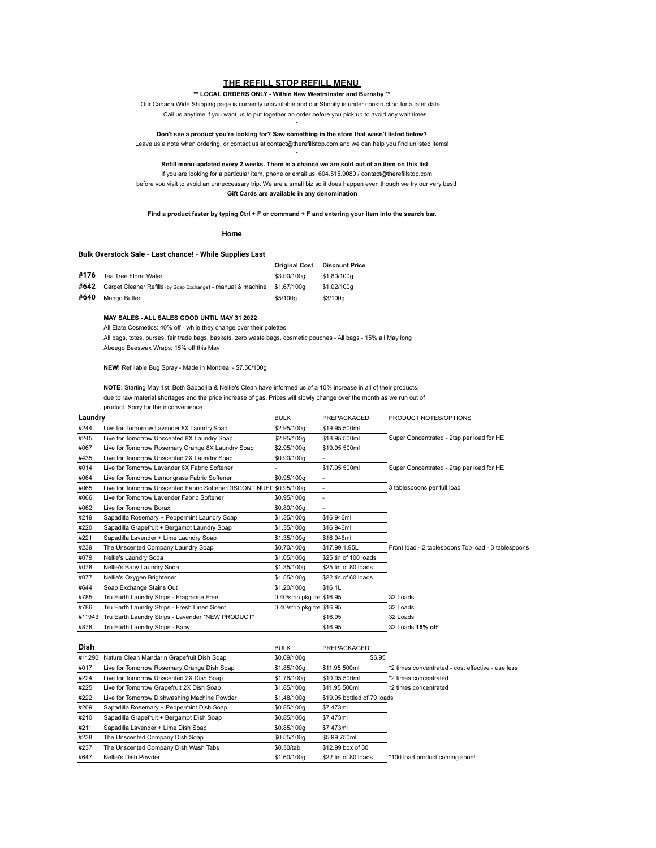# **THE REFILL STOP REFILL MENU**

#### **\*\* LOCAL ORDERS ONLY - Within New Westminster and Burnaby \*\***

Our Canada Wide Shipping page is currently unavailable and our Shopify is under construction for a later date. Call us anytime if you want us to put together an order before you pick up to avoid any wait times.

\* **Don't see a product you're looking for? Saw something in the store that wasn't listed below?**

Leave us a note when ordering, or contact us at contact@therefillstop.com and we can help you find unlisted items!

\* **Refill menu updated every 2 weeks. There is a chance we are sold out of an item on this list.** 

If you are looking for a particular item, phone or email us: 604.515.9080 / contact@therefillstop.com before you visit to avoid an unneccessary trip. We are a small biz so it does happen even though we try our very best! **Gift Cards are available in any denomination**

**Find a product faster by typing Ctrl + F or command + F and entering your item into the search bar.**

#### **Home**

#### **Bulk Overstock Sale - Last chance! - While Supplies Last**

|      | <b>Dain Overslook Oale - East Charles:</b> - Writte Oabbiles East             |                      |                       |
|------|-------------------------------------------------------------------------------|----------------------|-----------------------|
|      |                                                                               | <b>Original Cost</b> | <b>Discount Price</b> |
| #176 | Tea Tree Floral Water                                                         | \$3.00/100a          | \$1,80/100a           |
|      | #642 Carpet Cleaner Refills (by Soap Exchange) - manual & machine \$1.67/100g |                      | \$1.02/100a           |
| #640 | Mango Butter                                                                  | \$5/100a             | \$3/100g              |

#### **MAY SALES - ALL SALES GOOD UNTIL MAY 31 2022**

All Elate Cosmetics: 40% off - while they change over their palettes.

All bags, totes, purses, fair trade bags, baskets, zero waste bags, cosmetic pouches - All bags - 15% all May long Abeego Beeswax Wraps: 15% off this May

**NEW!** Refillable Bug Spray - Made in Montreal - \$7.50/100g

**NOTE:** Starting May 1st: Both Sapadilla & Nellie's Clean have informed us of a 10% increase in all of their products. due to raw material shortages and the price increase of gas. Prices will slowly change over the month as we run out of product. Sorry for the inconvenience.

| Laundry |                                                                     | <b>BULK</b>                | PREPACKAGED           | PRODUCT NOTES/OPTIONS                               |
|---------|---------------------------------------------------------------------|----------------------------|-----------------------|-----------------------------------------------------|
| #244    | Live for Tomorrow Lavender 8X Laundry Soap                          | \$2.95/100g                | \$19.95 500ml         |                                                     |
| #245    | Live for Tomorrow Unscented 8X Laundry Soap                         | \$2.95/100g                | \$18.95 500ml         | Super Concentrated - 2tsp per load for HE           |
| #067    | Live for Tomorrow Rosemary Orange 8X Laundry Soap                   | \$2.95/100g                | \$19.95 500ml         |                                                     |
| #435    | Live for Tomorrow Unscented 2X Laundry Soap                         | \$0.90/100g                |                       |                                                     |
| #014    | Live for Tomorrow Lavender 8X Fabric Softener                       |                            | \$17.95 500ml         | Super Concentrated - 2tsp per load for HE           |
| #064    | Live for Tomorrow Lemongrass Fabric Softener                        | \$0.95/100g                |                       |                                                     |
| #065    | Live for Tomorrow Unscented Fabric SoftenerDISCONTINUED \$0.95/100g |                            |                       | 3 tablespoons per full load                         |
| #066    | Live for Tomorrow Lavender Fabric Softener                          | \$0.95/100g                |                       |                                                     |
| #062    | Live for Tomorrow Borax                                             | \$0.80/100g                |                       |                                                     |
| #219    | Sapadilla Rosemary + Peppermint Laundry Soap                        | \$1.35/100g                | \$16 946ml            |                                                     |
| #220    | Sapadilla Grapefruit + Bergamot Laundry Soap                        | \$1.35/100g                | \$16 946ml            |                                                     |
| #221    | Sapadilla Lavender + Lime Laundry Soap                              | \$1.35/100g                | \$16 946ml            |                                                     |
| #239    | The Unscented Company Laundry Soap                                  | \$0.70/100g                | \$17.99 1.95L         | Front load - 2 tablespoons Top load - 3 tablespoons |
| #079    | Nellie's Laundry Soda                                               | \$1.05/100g                | \$25 tin of 100 loads |                                                     |
| #078    | Nellie's Baby Laundry Soda                                          | \$1.35/100g                | \$25 tin of 80 loads  |                                                     |
| #077    | Nellie's Oxygen Brightener                                          | \$1.55/100g                | \$22 tin of 60 loads  |                                                     |
| #644    | Soap Exchange Stains Out                                            | \$1.20/100g                | \$16 1L               |                                                     |
| #785    | Tru Earth Laundry Strips - Fragrance Free                           | 0.40/strip pkg fre \$16.95 |                       | 32 Loads                                            |
| #786    | Tru Earth Laundry Strips - Fresh Linen Scent                        | 0.40/strip pkg fre \$16.95 |                       | 32 Loads                                            |
| #11943  | Tru Earth Laundry Strips - Lavender *NEW PRODUCT*                   |                            | \$16.95               | 32 Loads                                            |
| #876    | Tru Earth Laundry Strips - Baby                                     |                            | \$16.95               | 32 Loads 15% off                                    |

| Dish   |                                              | <b>BULK</b> | PREPACKAGED                 |                                                   |
|--------|----------------------------------------------|-------------|-----------------------------|---------------------------------------------------|
| #11290 | Nature Clean Mandarin Grapefruit Dish Soap   | \$0.69/100g | \$6.95                      |                                                   |
| #017   | Live for Tomorrow Rosemary Orange Dish Soap  | S1.85/100a  | S11.95 500ml                | *2 times concentrated - cost effective - use less |
| #224   | Live for Tomorrow Unscented 2X Dish Soap     | S1.76/100a  | \$10.95 500ml               | *2 times concentrated                             |
| #225   | Live for Tomorrow Grapefruit 2X Dish Soap    | \$1.85/100g | S11.95 500ml                | *2 times concentrated                             |
| #222   | Live for Tomorrow Dishwashing Machine Powder | \$1.48/100a | \$19.95 bottled of 70 loads |                                                   |
| #209   | Sapadilla Rosemary + Peppermint Dish Soap    | S0.85/100a  | \$7473ml                    |                                                   |
| #210   | Sapadilla Grapefruit + Bergamot Dish Soap    | \$0.85/100g | S7 473ml                    |                                                   |
| #211   | Sapadilla Lavender + Lime Dish Soap          | S0.85/100a  | \$7473ml                    |                                                   |
| #238   | The Unscented Company Dish Soap              | S0.55/100a  | \$5.99750ml                 |                                                   |
| #237   | The Unscented Company Dish Wash Tabs         | S0.30/tab   | S12.99 box of 30            |                                                   |
| #647   | Nellie's Dish Powder                         | \$1.60/100a | \$22 tin of 80 loads        | *100 load product coming soon!                    |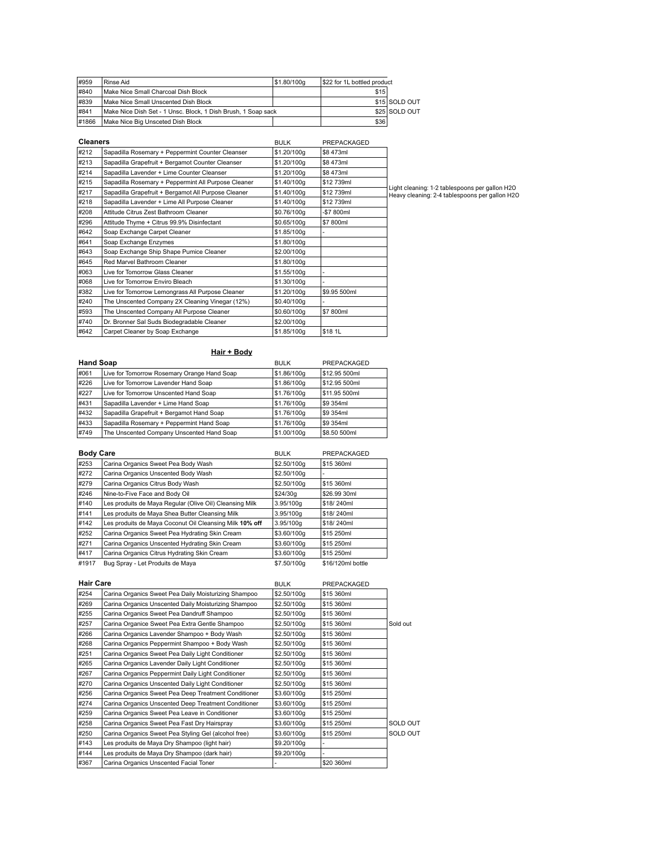| #959  | l Rinse Aid                                                   | S1.80/100g | \$22 for 1L bottled product |               |
|-------|---------------------------------------------------------------|------------|-----------------------------|---------------|
| #840  | Make Nice Small Charcoal Dish Block                           |            | \$15                        |               |
| #839  | Make Nice Small Unscented Dish Block                          |            |                             | \$15 SOLD OUT |
| #841  | Make Nice Dish Set - 1 Unsc. Block, 1 Dish Brush, 1 Soap sack |            |                             | \$25 SOLD OUT |
| #1866 | Make Nice Big Unsceted Dish Block                             |            | \$36                        |               |

| <b>Cleaners</b> |                                                     | <b>BULK</b> | PREPACKAGED  |                                                                                                  |
|-----------------|-----------------------------------------------------|-------------|--------------|--------------------------------------------------------------------------------------------------|
| #212            | Sapadilla Rosemary + Peppermint Counter Cleanser    | \$1.20/100g | \$8473ml     |                                                                                                  |
| #213            | Sapadilla Grapefruit + Bergamot Counter Cleanser    | \$1.20/100g | \$8473ml     |                                                                                                  |
| #214            | Sapadilla Lavender + Lime Counter Cleanser          | \$1.20/100g | \$8473ml     |                                                                                                  |
| #215            | Sapadilla Rosemary + Peppermint All Purpose Cleaner | \$1.40/100g | \$12739ml    |                                                                                                  |
| #217            | Sapadilla Grapefruit + Bergamot All Purpose Cleaner | \$1.40/100g | \$12739ml    | Light cleaning: 1-2 tablespoons per gallon H2O<br>Heavy cleaning: 2-4 tablespoons per gallon H2O |
| #218            | Sapadilla Lavender + Lime All Purpose Cleaner       | \$1.40/100g | \$12739ml    |                                                                                                  |
| #208            | Attitude Citrus Zest Bathroom Cleaner               | \$0.76/100g | -\$7 800ml   |                                                                                                  |
| #296            | Attitude Thyme + Citrus 99.9% Disinfectant          | \$0.65/100g | \$7 800ml    |                                                                                                  |
| #642            | Soap Exchange Carpet Cleaner                        | \$1.85/100g |              |                                                                                                  |
| #641            | Soap Exchange Enzymes                               | \$1,80/100a |              |                                                                                                  |
| #643            | Soap Exchange Ship Shape Pumice Cleaner             | \$2.00/100g |              |                                                                                                  |
| #645            | Red Marvel Bathroom Cleaner                         | \$1.80/100g |              |                                                                                                  |
| #063            | Live for Tomorrow Glass Cleaner                     | \$1.55/100g |              |                                                                                                  |
| #068            | Live for Tomorrow Enviro Bleach                     | \$1.30/100g |              |                                                                                                  |
| #382            | Live for Tomorrow Lemongrass All Purpose Cleaner    | \$1.20/100g | \$9.95 500ml |                                                                                                  |
| #240            | The Unscented Company 2X Cleaning Vinegar (12%)     | \$0.40/100g |              |                                                                                                  |
| #593            | The Unscented Company All Purpose Cleaner           | \$0.60/100g | \$7 800ml    |                                                                                                  |
| #740            | Dr. Bronner Sal Suds Biodegradable Cleaner          | \$2.00/100g |              |                                                                                                  |
| #642            | Carpet Cleaner by Soap Exchange                     | \$1.85/100g | \$18 1L      |                                                                                                  |

**Hair + Body**

|      | <b>Hand Soap</b>                            | <b>BULK</b> | PREPACKAGED   |
|------|---------------------------------------------|-------------|---------------|
| #061 | Live for Tomorrow Rosemary Orange Hand Soap | \$1.86/100g | \$12.95 500ml |
| #226 | Live for Tomorrow Lavender Hand Soap        | \$1.86/100g | \$12.95 500ml |
| #227 | Live for Tomorrow Unscented Hand Soap       | \$1.76/100g | \$11.95 500ml |
| #431 | Sapadilla Lavender + Lime Hand Soap         | \$1.76/100a | S9 354ml      |
| #432 | Sapadilla Grapefruit + Bergamot Hand Soap   | \$1,76/100g | S9 354ml      |
| #433 | Sapadilla Rosemary + Peppermint Hand Soap   | \$1.76/100g | \$9 354ml     |
| #749 | The Unscented Company Unscented Hand Soap   | \$1.00/100a | \$8.50 500ml  |

|       | <b>Body Care</b>                                        |             | PREPACKAGED       |
|-------|---------------------------------------------------------|-------------|-------------------|
| #253  | Carina Organics Sweet Pea Body Wash                     | \$2.50/100g | \$15 360ml        |
| #272  | Carina Organics Unscented Body Wash                     | \$2.50/100g |                   |
| #279  | Carina Organics Citrus Body Wash                        | \$2.50/100a | \$15 360ml        |
| #246  | Nine-to-Five Face and Body Oil                          | \$24/30a    | \$26.99 30ml      |
| #140  | Les produits de Maya Regular (Olive Oil) Cleansing Milk | 3.95/100a   | \$18/240ml        |
| #141  | Les produits de Maya Shea Butter Cleansing Milk         | 3.95/100a   | \$18/240ml        |
| #142  | Les produits de Maya Coconut Oil Cleansing Milk 10% off | 3.95/100a   | \$18/240ml        |
| #252  | Carina Organics Sweet Pea Hydrating Skin Cream          | \$3.60/100g | \$15 250ml        |
| #271  | Carina Organics Unscented Hydrating Skin Cream          | \$3.60/100g | \$15 250ml        |
| #417  | Carina Organics Citrus Hydrating Skin Cream             | \$3.60/100g | \$15 250ml        |
| #1917 | Bug Spray - Let Produits de Maya                        | \$7.50/100g | \$16/120ml bottle |

| <b>Hair Care</b> |                                                      | <b>BULK</b> | PREPACKAGED |          |
|------------------|------------------------------------------------------|-------------|-------------|----------|
| #254             | Carina Organics Sweet Pea Daily Moisturizing Shampoo | \$2.50/100g | \$15 360ml  |          |
| #269             | Carina Organics Unscented Daily Moisturizing Shampoo | \$2.50/100g | \$15 360ml  |          |
| #255             | Carina Organics Sweet Pea Dandruff Shampoo           | \$2,50/100g | \$15 360ml  |          |
| #257             | Carina Organice Sweet Pea Extra Gentle Shampoo       | \$2.50/100g | \$15 360ml  | Sold out |
| #266             | Carina Organics Lavender Shampoo + Body Wash         | \$2.50/100g | \$15 360ml  |          |
| #268             | Carina Organics Peppermint Shampoo + Body Wash       | \$2.50/100g | \$15 360ml  |          |
| #251             | Carina Organics Sweet Pea Daily Light Conditioner    | \$2.50/100g | \$15 360ml  |          |
| #265             | Carina Organics Lavender Daily Light Conditioner     | \$2.50/100g | \$15 360ml  |          |
| #267             | Carina Organics Peppermint Daily Light Conditioner   | \$2.50/100g | \$15 360ml  |          |
| #270             | Carina Organics Unscented Daily Light Conditioner    | \$2.50/100g | \$15 360ml  |          |
| #256             | Carina Organics Sweet Pea Deep Treatment Conditioner | \$3.60/100g | \$15 250ml  |          |
| #274             | Carina Organics Unscented Deep Treatment Conditioner | \$3.60/100g | \$15 250ml  |          |
| #259             | Carina Organics Sweet Pea Leave in Conditioner       | \$3.60/100g | \$15 250ml  |          |
| #258             | Carina Organics Sweet Pea Fast Dry Hairspray         | \$3.60/100g | \$15 250ml  | SOLD OUT |
| #250             | Carina Organics Sweet Pea Styling Gel (alcohol free) | \$3.60/100g | \$15 250ml  | SOLD OUT |
| #143             | Les produits de Maya Dry Shampoo (light hair)        | \$9.20/100g |             |          |
| #144             | Les produits de Maya Dry Shampoo (dark hair)         | \$9.20/100g |             |          |
| #367             | Carina Organics Unscented Facial Toner               |             | \$20 360ml  |          |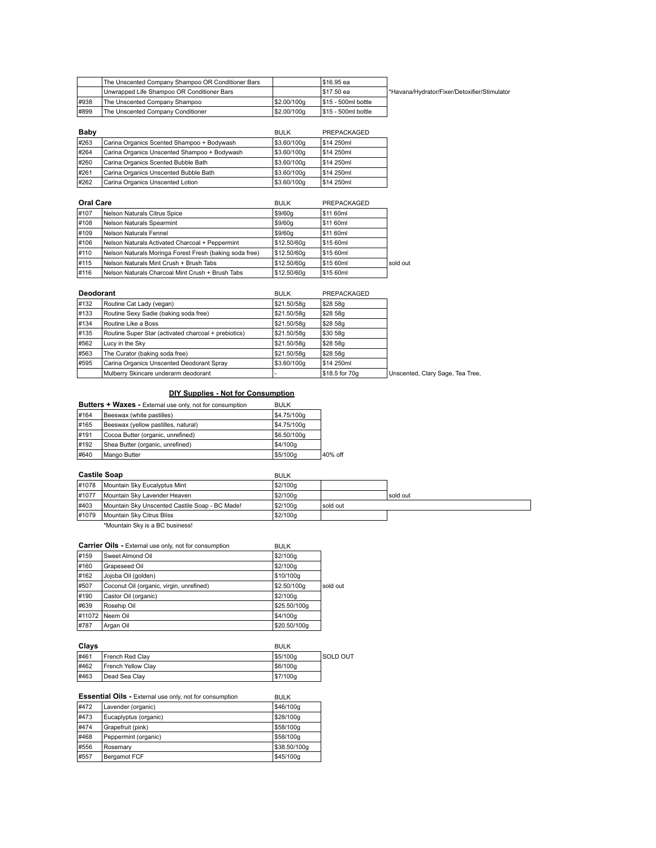|      | The Unscented Company Shampoo OR Conditioner Bars |            | I\$16.95 ea          |                                             |
|------|---------------------------------------------------|------------|----------------------|---------------------------------------------|
|      | Unwrapped Life Shampoo OR Conditioner Bars        |            | I\$17.50 ea          | Navana/Hydrator/Fixer/Detoxifier/Stimulator |
| #938 | The Unscented Company Shampoo                     | S2.00/100a | I\$15 - 500ml bottle |                                             |
| #899 | The Unscented Company Conditioner                 | S2.00/100a | I\$15 - 500ml bottle |                                             |

| Baby |                                              | <b>BULK</b> | PREPACKAGED |
|------|----------------------------------------------|-------------|-------------|
| #263 | Carina Organics Scented Shampoo + Bodywash   | \$3.60/100g | \$14 250ml  |
| #264 | Carina Organics Unscented Shampoo + Bodywash | S3.60/100a  | \$14 250ml  |
| #260 | Carina Organics Scented Bubble Bath          | S3.60/100a  | \$14 250ml  |
| #261 | Carina Organics Unscented Bubble Bath        | S3.60/100a  | \$14 250ml  |
| #262 | Carina Organics Unscented Lotion             | \$3.60/100g | \$14 250ml  |

| <b>Oral Care</b> |                                                         | <b>BULK</b> | PREPACKAGED |          |
|------------------|---------------------------------------------------------|-------------|-------------|----------|
| #107             | Nelson Naturals Citrus Spice                            | \$9/60q     | \$11 60ml   |          |
| #108             | Nelson Naturals Spearmint                               | \$9/60q     | \$11 60ml   |          |
| #109             | Nelson Naturals Fennel                                  | \$9/60q     | \$11 60ml   |          |
| #106             | Nelson Naturals Activated Charcoal + Peppermint         | \$12.50/60g | \$15 60ml   |          |
| #110             | Nelson Naturals Moringa Forest Fresh (baking soda free) | \$12.50/60g | \$15 60ml   |          |
| #115             | Nelson Naturals Mint Crush + Brush Tabs                 | \$12.50/60g | \$15 60ml   | sold out |
| #116             | Nelson Naturals Charcoal Mint Crush + Brush Tabs        | \$12,50/60a | \$15 60ml   |          |

| <b>Deodorant</b> |                                                      | <b>BULK</b> | PREPACKAGED    |                                  |
|------------------|------------------------------------------------------|-------------|----------------|----------------------------------|
| #132             | Routine Cat Lady (vegan)                             | \$21.50/58g | \$28 58g       |                                  |
| #133             | Routine Sexy Sadie (baking soda free)                | \$21.50/58g | \$28 58g       |                                  |
| #134             | Routine Like a Boss                                  | \$21.50/58g | \$28 58g       |                                  |
| #135             | Routine Super Star (activated charcoal + prebiotics) | \$21.50/58g | \$30 58g       |                                  |
| #562             | Lucy in the Sky                                      | \$21.50/58g | \$28 58g       |                                  |
| #563             | The Curator (baking soda free)                       | \$21.50/58g | \$28 58g       |                                  |
| #595             | Carina Organics Unscented Deodorant Spray            | \$3.60/100g | S14 250ml      |                                  |
|                  | Mulberry Skincare underarm deodorant                 |             | \$18.5 for 70a | Unscented, Clary Sage, Tea Tree, |

# **DIY Supplies - Not for Consumption**

| <u>Pri Supplies - Not for Consumption</u>                |             |         |  |
|----------------------------------------------------------|-------------|---------|--|
| Butters + Waxes - External use only, not for consumption | <b>BULK</b> |         |  |
| Beeswax (white pastilles)                                | \$4.75/100g |         |  |
| Beeswax (yellow pastilles, natural)                      | \$4.75/100g |         |  |
| Cocoa Butter (organic, unrefined)                        | \$6.50/100g |         |  |
| Shea Butter (organic, unrefined)                         | \$4/100g    |         |  |
| Mango Butter                                             | \$5/100g    | 40% off |  |
|                                                          |             |         |  |

| <b>Castile Soap</b> |                                                | <b>BULK</b> |          |          |
|---------------------|------------------------------------------------|-------------|----------|----------|
| #1078               | Mountain Sky Eucalyptus Mint                   | \$2/100g    |          |          |
| #1077               | Mountain Sky Lavender Heaven                   | \$2/100g    |          | sold out |
| #403                | Mountain Sky Unscented Castile Soap - BC Made! | \$2/100g    | sold out |          |
| #1079               | <b>IMountain Sky Citrus Bliss</b>              | \$2/100g    |          |          |
|                     |                                                |             |          |          |

\*Mountain Sky is a BC business!

# **Carrier Oils - External use only, not for consumption BULK**

| #159   | Sweet Almond Oil                         | S2/100a      |          |
|--------|------------------------------------------|--------------|----------|
| #160   | Grapeseed Oil                            | \$2/100g     |          |
| #162   | Jojoba Oil (golden)                      | S10/100a     |          |
| #507   | Coconut Oil (organic, virgin, unrefined) | \$2.50/100g  | sold out |
| #190   | Castor Oil (organic)                     | \$2/100g     |          |
| #639   | Rosehip Oil                              | \$25,50/100a |          |
| #11072 | Neem Oil                                 | S4/100a      |          |
| #787   | Argan Oil                                | \$20,50/100a |          |

| Clavs |                    | <b>BULK</b> |                 |
|-------|--------------------|-------------|-----------------|
| #461  | French Red Clay    | \$5/100g    | <b>SOLD OUT</b> |
| #462  | French Yellow Clay | S6/100a     |                 |
| #463  | Dead Sea Clay      | \$7/100g    |                 |

|  |  | <b>Essential Oils - External use only, not for consumption</b> | <b>BULK</b> |
|--|--|----------------------------------------------------------------|-------------|
|--|--|----------------------------------------------------------------|-------------|

| #472 | Lavender (organic)    | \$46/100g   |
|------|-----------------------|-------------|
| #473 | Eucaplyptus (organic) | \$28/100g   |
| #474 | Grapefruit (pink)     | \$58/100a   |
| #468 | Peppermint (organic)  | \$58/100g   |
| #556 | Rosemary              | S38.50/100a |
| #557 | Bergamot FCF          | \$45/100a   |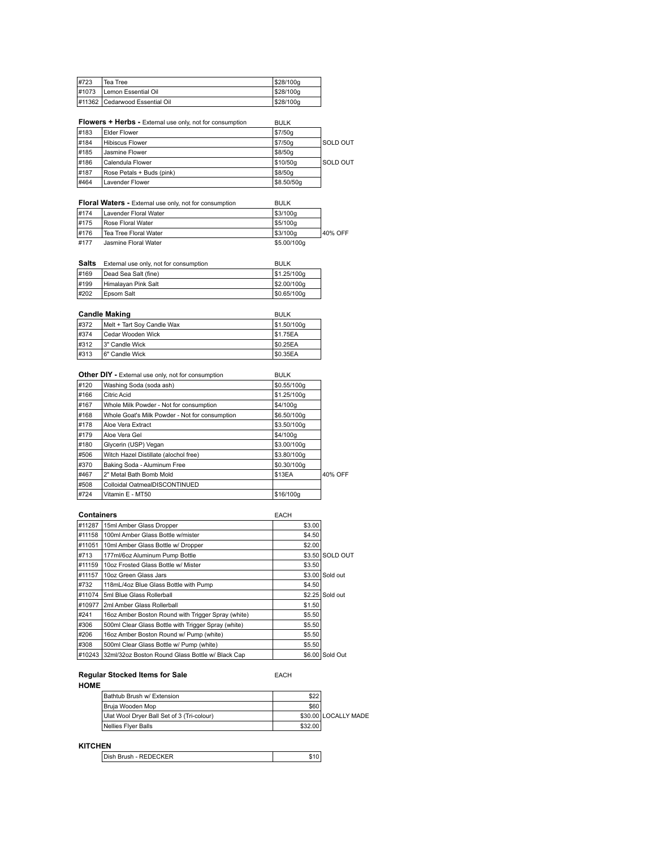| #723  | Tea Tree                       | S28/100a |
|-------|--------------------------------|----------|
| #1073 | Lemon Essential Oil            | S28/100a |
|       | #11362 Cedarwood Essential Oil | S28/100g |

|      | Flowers + Herbs - External use only, not for consumption | <b>BULK</b> |          |
|------|----------------------------------------------------------|-------------|----------|
| #183 | <b>Elder Flower</b>                                      | \$7/50g     |          |
| #184 | <b>Hibiscus Flower</b>                                   | \$7/50g     | SOLD OUT |
| #185 | Jasmine Flower                                           | \$8/50a     |          |
| #186 | Calendula Flower                                         | \$10/50a    | SOLD OUT |
| #187 | Rose Petals + Buds (pink)                                | \$8/50a     |          |
| #464 | <b>Lavender Flower</b>                                   | \$8,50/50a  |          |

|      | <b>Floral Waters - External use only, not for consumption</b> | <b>BULK</b> |         |
|------|---------------------------------------------------------------|-------------|---------|
| #174 | Lavender Floral Water                                         | \$3/100q    |         |
| #175 | Rose Floral Water                                             | S5/100g     |         |
| #176 | Tea Tree Floral Water                                         | S3/100g     | 40% OFF |
| #177 | Jasmine Floral Water                                          | \$5.00/100g |         |

| Salts | External use only, not for consumption | <b>BULK</b> |
|-------|----------------------------------------|-------------|
| #169  | Dead Sea Salt (fine)                   | S1.25/100g  |
| #199  | Himalayan Pink Salt                    | \$2.00/100g |
| #202  | Epsom Salt                             | \$0.65/100q |

| <b>Candle Making</b> |                            | <b>BULK</b>    |
|----------------------|----------------------------|----------------|
| #372                 | Melt + Tart Soy Candle Wax | \$1.50/100g    |
| #374                 | Cedar Wooden Wick          | <b>S1.75EA</b> |
| #312                 | 13" Candle Wick            | \$0.25EA       |
| #313                 | 6" Candle Wick             | \$0.35EA       |

|      | Other DIY - External use only, not for consumption | <b>BULK</b> |         |
|------|----------------------------------------------------|-------------|---------|
| #120 | Washing Soda (soda ash)                            | \$0.55/100g |         |
| #166 | Citric Acid                                        | \$1,25/100g |         |
| #167 | Whole Milk Powder - Not for consumption            | \$4/100g    |         |
| #168 | Whole Goat's Milk Powder - Not for consumption     | \$6.50/100g |         |
| #178 | Aloe Vera Extract                                  | \$3.50/100g |         |
| #179 | Aloe Vera Gel                                      | \$4/100a    |         |
| #180 | Glycerin (USP) Vegan                               | \$3.00/100g |         |
| #506 | Witch Hazel Distillate (alochol free)              | \$3.80/100g |         |
| #370 | Baking Soda - Aluminum Free                        | \$0.30/100g |         |
| #467 | 2" Metal Bath Bomb Mold                            | \$13EA      | 40% OFF |
| #508 | Colloidal OatmealDISCONTINUED                      |             |         |
| #724 | Vitamin E - MT50                                   | \$16/100g   |         |

| <b>Containers</b> |                                                     | <b>EACH</b> |                 |
|-------------------|-----------------------------------------------------|-------------|-----------------|
| #11287            | 15ml Amber Glass Dropper                            | \$3.00      |                 |
| #11158            | 100ml Amber Glass Bottle w/mister                   | \$4.50      |                 |
| #11051            | 10ml Amber Glass Bottle w/ Dropper                  | \$2.00      |                 |
| #713              | 177ml/6oz Aluminum Pump Bottle                      |             | \$3.50 SOLD OUT |
| #11159            | 10oz Frosted Glass Bottle w/ Mister                 | \$3.50      |                 |
| #11157            | 10oz Green Glass Jars                               |             | \$3.00 Sold out |
| #732              | 118mL/4oz Blue Glass Bottle with Pump               | \$4.50      |                 |
| #11074            | 5ml Blue Glass Rollerball                           |             | \$2.25 Sold out |
| #10977            | 2ml Amber Glass Rollerball                          | \$1.50      |                 |
| #241              | 16oz Amber Boston Round with Trigger Spray (white)  | \$5.50      |                 |
| #306              | 500ml Clear Glass Bottle with Trigger Spray (white) | \$5.50      |                 |
| #206              | 16oz Amber Boston Round w/ Pump (white)             | \$5.50      |                 |
| #308              | 500ml Clear Glass Bottle w/ Pump (white)            | \$5.50      |                 |
| #10243            | 32ml/32oz Boston Round Glass Bottle w/ Black Cap    |             | \$6,00 Sold Out |

**Regular Stocked Items for Sale EACH** 

| Bathtub Brush w/ Extension                 | \$22    |                      |
|--------------------------------------------|---------|----------------------|
| I Bruia Wooden Mop                         | \$60    |                      |
| Ulat Wool Dryer Ball Set of 3 (Tri-colour) |         | \$30,00 LOCALLY MADE |
| Nellies Flyer Balls                        | \$32.00 |                      |

## **KITCHEN**

| Dish Brush - REDECKER |  |
|-----------------------|--|
|-----------------------|--|